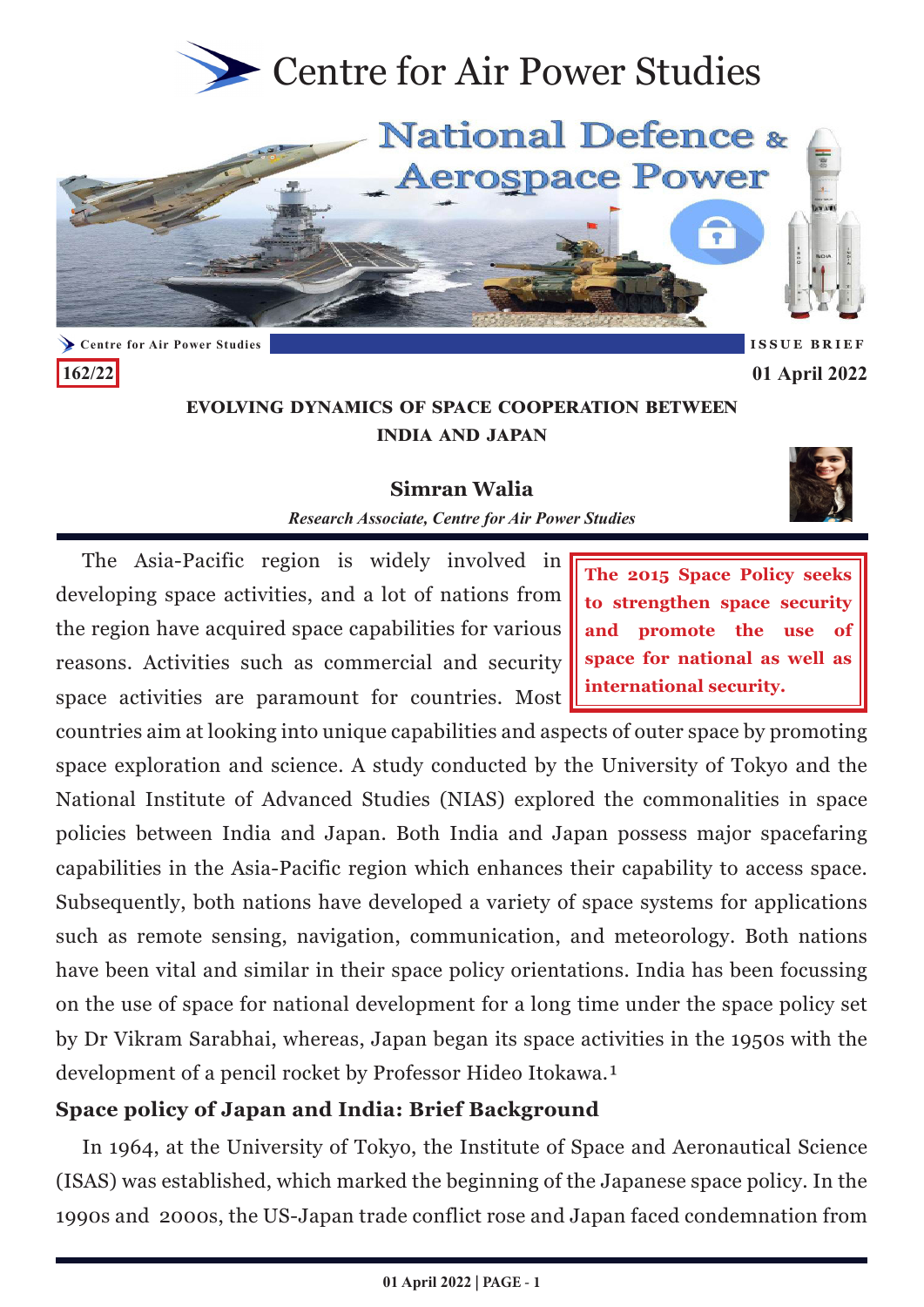<span id="page-0-0"></span>

**Evolving Dynamics of Space Cooperation between India and Japan**

**Simran Walia** *Research Associate, Centre for Air Power Studies*

The Asia-Pacific region is widely involved in developing space activities, and a lot of nations from the region have acquired space capabilities for various reasons. Activities such as commercial and security space activities are paramount for countries. Most

**162/22**

**The 2015 Space Policy seeks to strengthen space security and promote the use of space for national as well as international security.**

**01 April 2022**

countries aim at looking into unique capabilities and aspects of outer space by promoting space exploration and science. A study conducted by the University of Tokyo and the National Institute of Advanced Studies (NIAS) explored the commonalities in space policies between India and Japan. Both India and Japan possess major spacefaring capabilities in the Asia-Pacific region which enhances their capability to access space. Subsequently, both nations have developed a variety of space systems for applications such as remote sensing, navigation, communication, and meteorology. Both nations have been vital and similar in their space policy orientations. India has been focussing on the use of space for national development for a long time under the space policy set by Dr Vikram Sarabhai, whereas, Japan began its space activities in the 1950s with the development of a pencil rocket by Professor Hideo Itokawa.<sup>1</sup>

# **Space policy of Japan and India: Brief Background**

In 1964, at the University of Tokyo, the Institute of Space and Aeronautical Science (ISAS) was established, which marked the beginning of the Japanese space policy. In the 1990s and 2000s, the US-Japan trade conflict rose and Japan faced condemnation from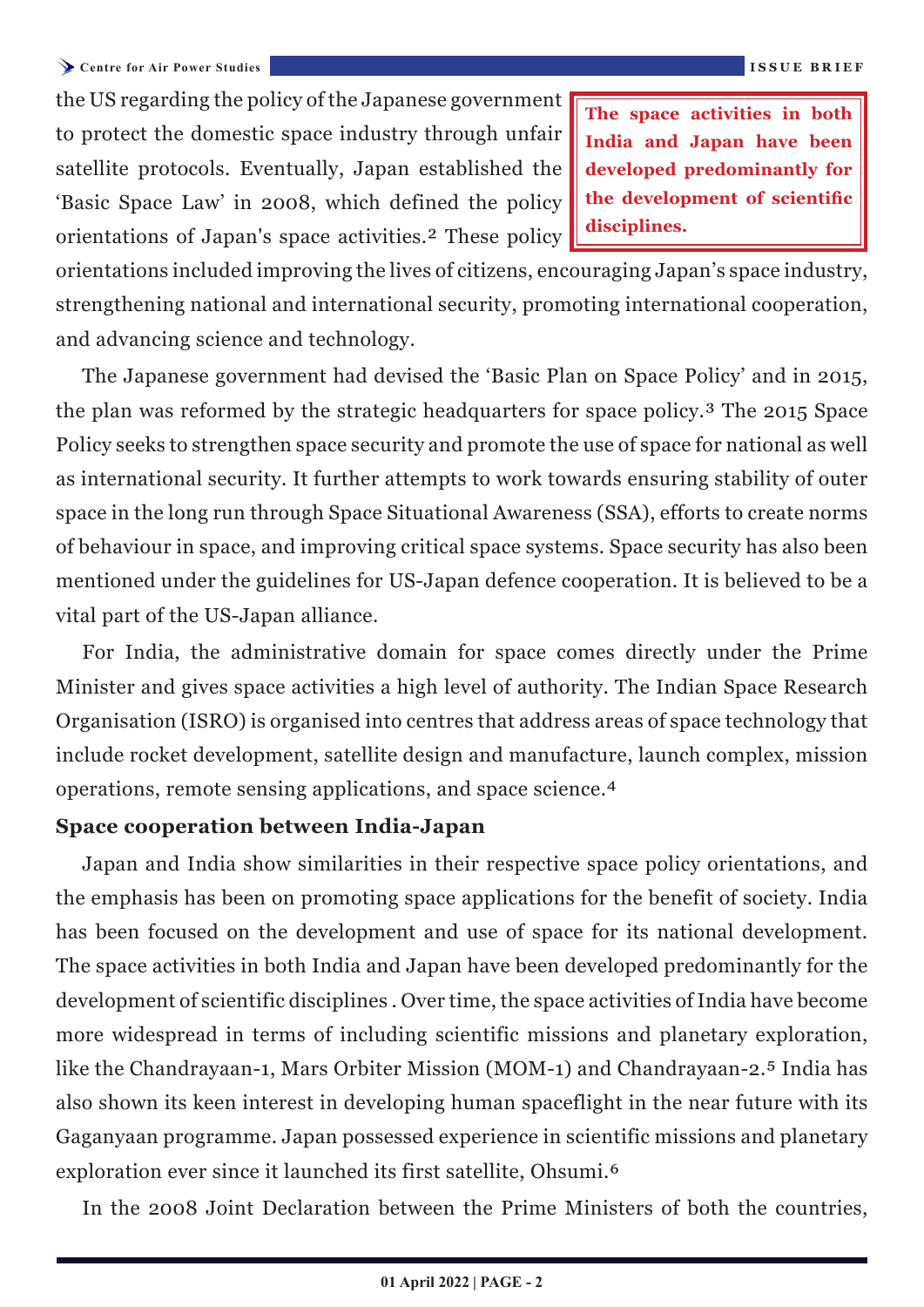**India and Japan have been developed predominantly for the development of scientific disciplines.**

<span id="page-1-0"></span>orientations included improving the lives of citizens, encouraging Japan's space industry, strengthening national and international security, promoting international cooperation, and advancing science and technology.

The Japanese government had devised the 'Basic Plan on Space Policy' and in 2015, the plan was reformed by the strategic headquarters for space policy.<sup>3</sup> The 2015 Space Policy seeks to strengthen space security and promote the use of space for national as well as international security. It further attempts to work towards ensuring stability of outer space in the long run through Space Situational Awareness (SSA), efforts to create norms of behaviour in space, and improving critical space systems. Space security has also been mentioned under the guidelines for US-Japan defence cooperation. It is believed to be a vital part of the US-Japan alliance.

For India, the administrative domain for space comes directly under the Prime Minister and gives space activities a high level of authority. The Indian Space Research Organisation (ISRO) is organised into centres that address areas of space technology that include rocket development, satellite design and manufacture, launch complex, mission operations, remote sensing applications, and space science.<sup>4</sup>

## **Space cooperation between India-Japan**

Japan and India show similarities in their respective space policy orientations, and the emphasis has been on promoting space applications for the benefit of society. India has been focused on the development and use of space for its national development. The space activities in both India and Japan have been developed predominantly for the development of scientific disciplines . Over time, the space activities of India have become more widespread in terms of including scientific missions and planetary exploration, like the Chandrayaan-1, Mars Orbiter Mission (MOM-1) and Chandrayaan-2.<sup>5</sup> India has also shown its keen interest in developing human spaceflight in the near future with its Gaganyaan programme. Japan possessed experience in scientific missions and planetary exploration ever since it launched its first satellite, Ohsumi.<sup>6</sup>

In the 2008 Joint Declaration between the Prime Ministers of both the countries,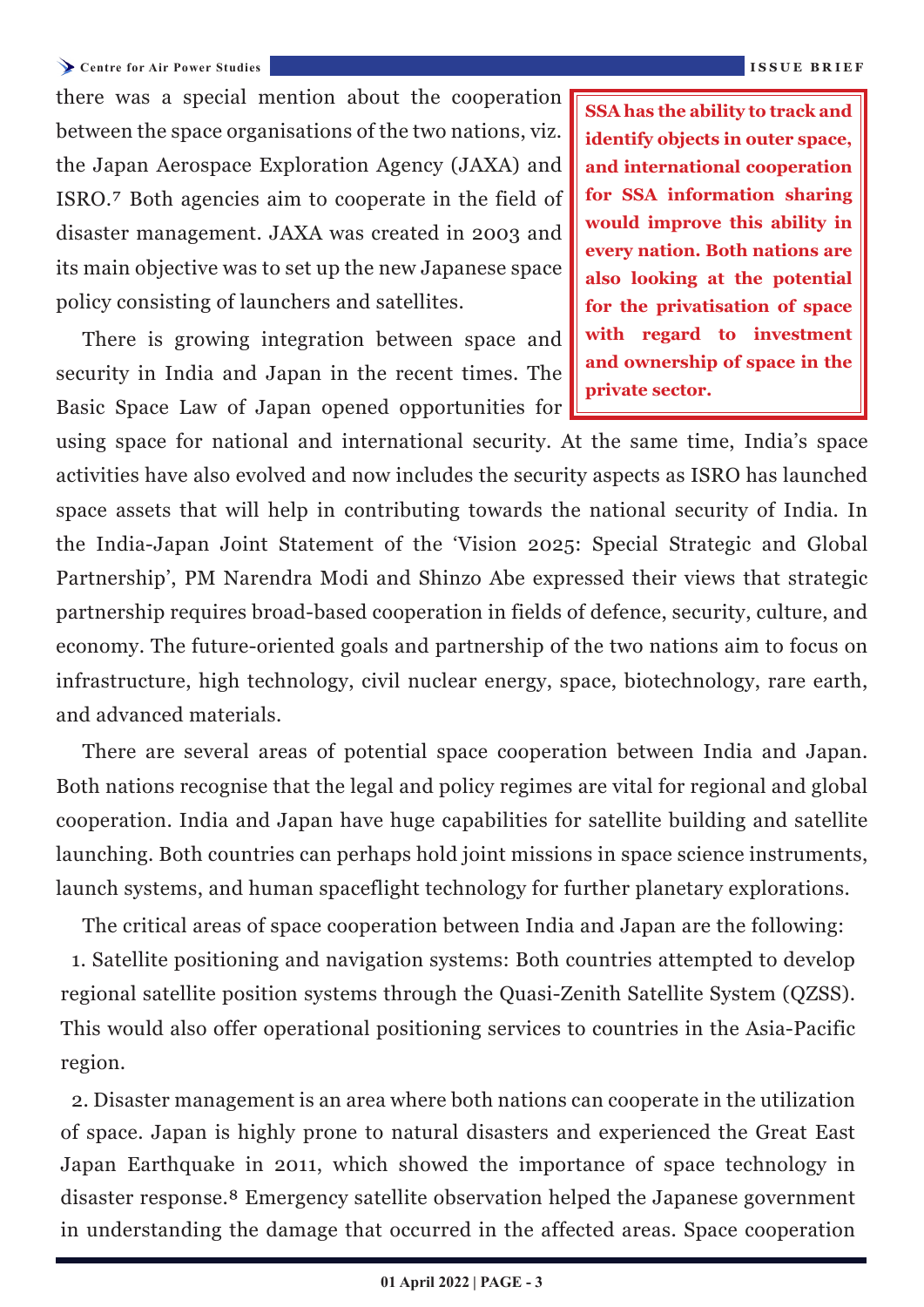#### <span id="page-2-0"></span>**Centre for Air Power Studies ISSUE BRIEF**

there was a special mention about the cooperation between the space organisations of the two nations, viz. the Japan Aerospace Exploration Agency (JAXA) and ISRO.[⁷](#page-4-0) Both agencies aim to cooperate in the field of disaster management. JAXA was created in 2003 and its main objective was to set up the new Japanese space policy consisting of launchers and satellites.

There is growing integration between space and security in India and Japan in the recent times. The Basic Space Law of Japan opened opportunities for **SSA has the ability to track and identify objects in outer space, and international cooperation for SSA information sharing would improve this ability in every nation. Both nations are also looking at the potential for the privatisation of space with regard to investment and ownership of space in the private sector.**

using space for national and international security. At the same time, India's space activities have also evolved and now includes the security aspects as ISRO has launched space assets that will help in contributing towards the national security of India. In the India-Japan Joint Statement of the 'Vision 2025: Special Strategic and Global Partnership', PM Narendra Modi and Shinzo Abe expressed their views that strategic partnership requires broad-based cooperation in fields of defence, security, culture, and economy. The future-oriented goals and partnership of the two nations aim to focus on infrastructure, high technology, civil nuclear energy, space, biotechnology, rare earth, and advanced materials.

There are several areas of potential space cooperation between India and Japan. Both nations recognise that the legal and policy regimes are vital for regional and global cooperation. India and Japan have huge capabilities for satellite building and satellite launching. Both countries can perhaps hold joint missions in space science instruments, launch systems, and human spaceflight technology for further planetary explorations.

The critical areas of space cooperation between India and Japan are the following: 1. Satellite positioning and navigation systems: Both countries attempted to develop regional satellite position systems through the Quasi-Zenith Satellite System (QZSS). This would also offer operational positioning services to countries in the Asia-Pacific region.

2. Disaster management is an area where both nations can cooperate in the utilization of space. Japan is highly prone to natural disasters and experienced the Great East Japan Earthquake in 2011, which showed the importance of space technology in disaster response.[⁸](#page-4-0) Emergency satellite observation helped the Japanese government in understanding the damage that occurred in the affected areas. Space cooperation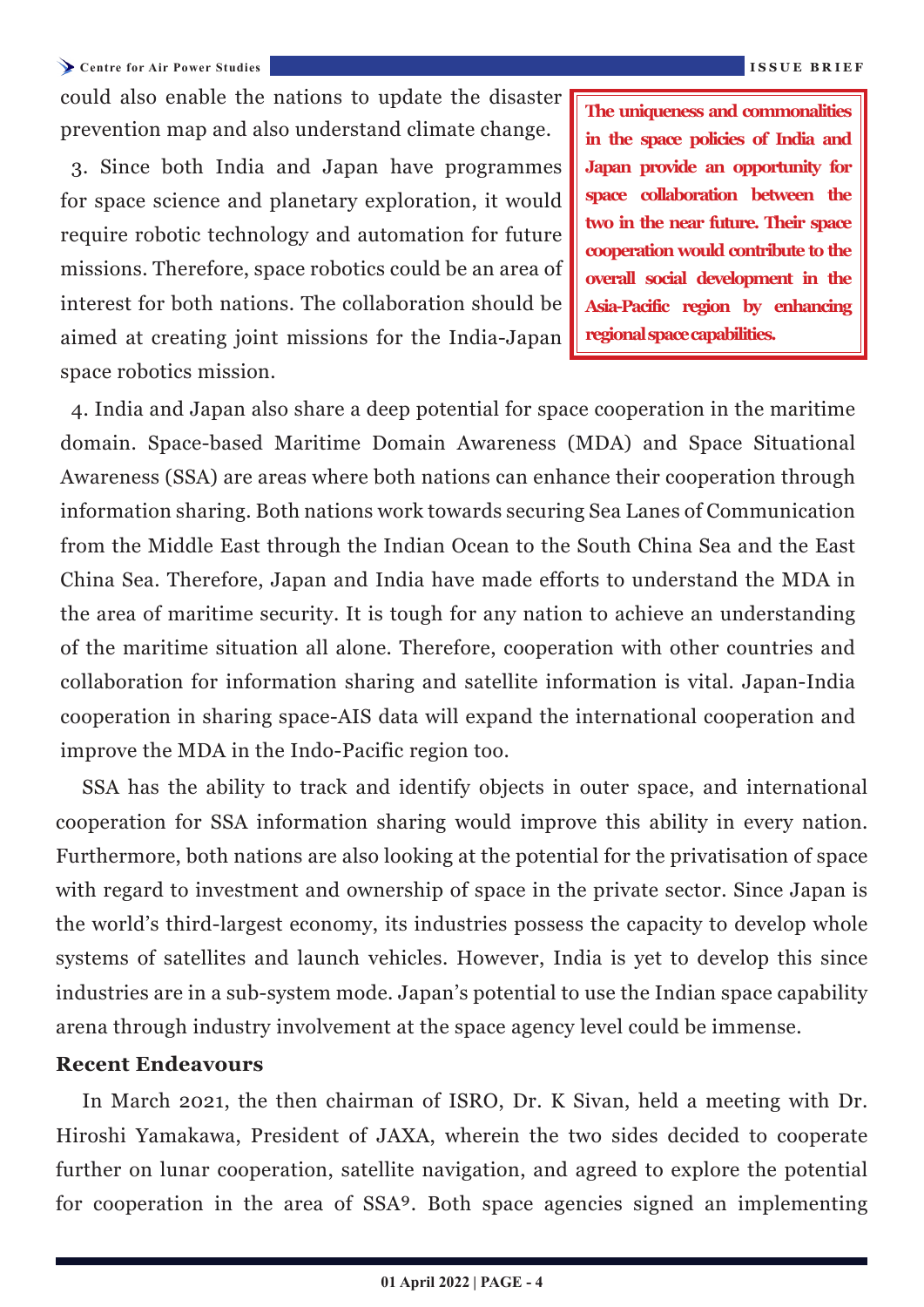<span id="page-3-0"></span>**Centre for Air Power Studies ISSUE BRIEF**

could also enable the nations to update the disaster prevention map and also understand climate change.

3. Since both India and Japan have programmes for space science and planetary exploration, it would require robotic technology and automation for future missions. Therefore, space robotics could be an area of interest for both nations. The collaboration should be aimed at creating joint missions for the India-Japan space robotics mission.

**The uniqueness and commonalities in the space policies of India and Japan provide an opportunity for space collaboration between the two in the near future. Their space cooperation would contribute to the overall social development in the Asia-Pacific region by enhancing regional space capabilities.**

4. India and Japan also share a deep potential for space cooperation in the maritime domain. Space-based Maritime Domain Awareness (MDA) and Space Situational Awareness (SSA) are areas where both nations can enhance their cooperation through information sharing. Both nations work towards securing Sea Lanes of Communication from the Middle East through the Indian Ocean to the South China Sea and the East China Sea. Therefore, Japan and India have made efforts to understand the MDA in the area of maritime security. It is tough for any nation to achieve an understanding of the maritime situation all alone. Therefore, cooperation with other countries and collaboration for information sharing and satellite information is vital. Japan-India cooperation in sharing space-AIS data will expand the international cooperation and improve the MDA in the Indo-Pacific region too.

SSA has the ability to track and identify objects in outer space, and international cooperation for SSA information sharing would improve this ability in every nation. Furthermore, both nations are also looking at the potential for the privatisation of space with regard to investment and ownership of space in the private sector. Since Japan is the world's third-largest economy, its industries possess the capacity to develop whole systems of satellites and launch vehicles. However, India is yet to develop this since industries are in a sub-system mode. Japan's potential to use the Indian space capability arena through industry involvement at the space agency level could be immense.

### **Recent Endeavours**

In March 2021, the then chairman of ISRO, Dr. K Sivan, held a meeting with Dr. Hiroshi Yamakawa, President of JAXA, wherein the two sides decided to cooperate further on lunar cooperation, satellite navigation, and agreed to explore the potential for cooperation in the area of SSA<sup>9</sup>. Both space agencies signed an implementing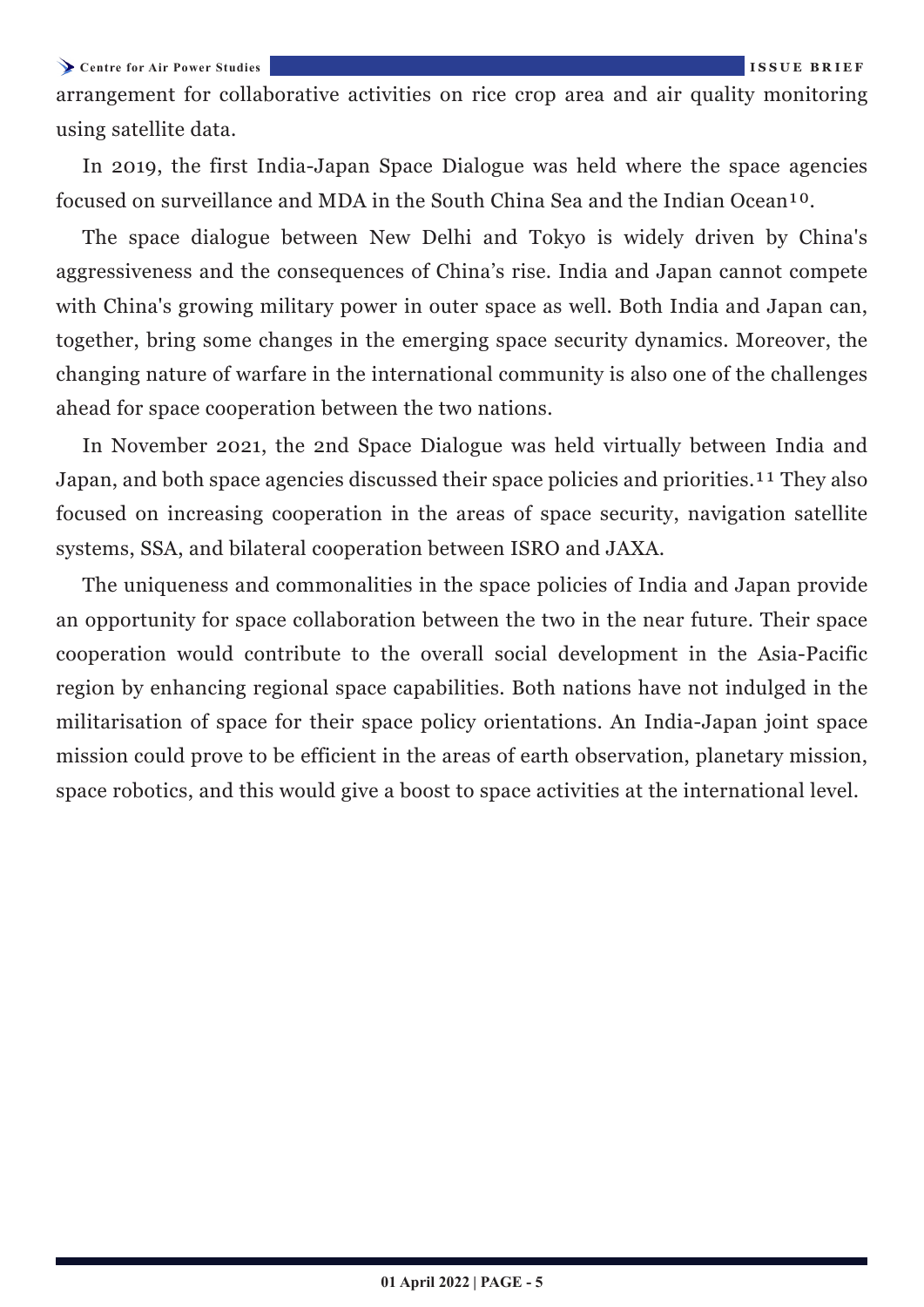<span id="page-4-0"></span>**Centre for Air Power Studies ISSUE BRIEF**

arrangement for collaborative activities on rice crop area and air quality monitoring using satellite data.

In 2019, the first India-Japan Space Dialogue was held where the space agencies focused on surveillance and MDA in the South China Sea and the Indian Ocean<sup>10</sup>.

The space dialogue between New Delhi and Tokyo is widely driven by China's aggressiveness and the consequences of China's rise. India and Japan cannot compete with China's growing military power in outer space as well. Both India and Japan can, together, bring some changes in the emerging space security dynamics. Moreover, the changing nature of warfare in the international community is also one of the challenges ahead for space cooperation between the two nations.

In November 2021, the 2nd Space Dialogue was held virtually between India and Japan, and both space agencies discussed their space policies and priorities.<sup>11</sup> They also focused on increasing cooperation in the areas of space security, navigation satellite systems, SSA, and bilateral cooperation between ISRO and JAXA.

The uniqueness and commonalities in the space policies of India and Japan provide an opportunity for space collaboration between the two in the near future. Their space cooperation would contribute to the overall social development in the Asia-Pacific region by enhancing regional space capabilities. Both nations have not indulged in the militarisation of space for their space policy orientations. An India-Japan joint space mission could prove to be efficient in the areas of earth observation, planetary mission, space robotics, and this would give a boost to space activities at the international level.